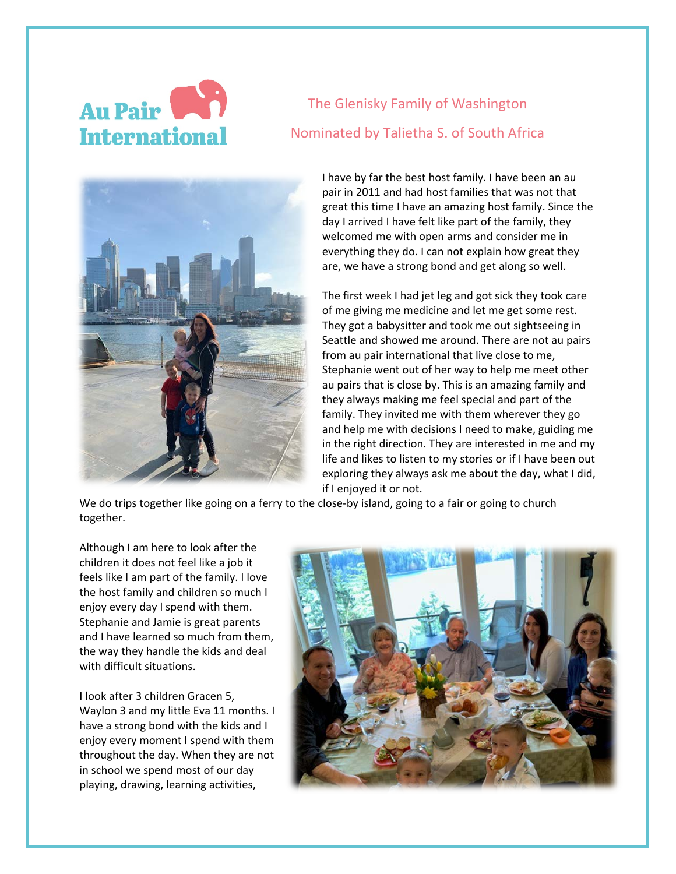

## The Glenisky Family of Washington Nominated by Talietha S. of South Africa



I have by far the best host family. I have been an au pair in 2011 and had host families that was not that great this time I have an amazing host family. Since the day I arrived I have felt like part of the family, they welcomed me with open arms and consider me in everything they do. I can not explain how great they are, we have a strong bond and get along so well.

The first week I had jet leg and got sick they took care of me giving me medicine and let me get some rest. They got a babysitter and took me out sightseeing in Seattle and showed me around. There are not au pairs from au pair international that live close to me, Stephanie went out of her way to help me meet other au pairs that is close by. This is an amazing family and they always making me feel special and part of the family. They invited me with them wherever they go and help me with decisions I need to make, guiding me in the right direction. They are interested in me and my life and likes to listen to my stories or if I have been out exploring they always ask me about the day, what I did, if I enjoyed it or not.

We do trips together like going on a ferry to the close-by island, going to a fair or going to church together.

Although I am here to look after the children it does not feel like a job it feels like I am part of the family. I love the host family and children so much I enjoy every day I spend with them. Stephanie and Jamie is great parents and I have learned so much from them, the way they handle the kids and deal with difficult situations.

I look after 3 children Gracen 5, Waylon 3 and my little Eva 11 months. I have a strong bond with the kids and I enjoy every moment I spend with them throughout the day. When they are not in school we spend most of our day playing, drawing, learning activities,